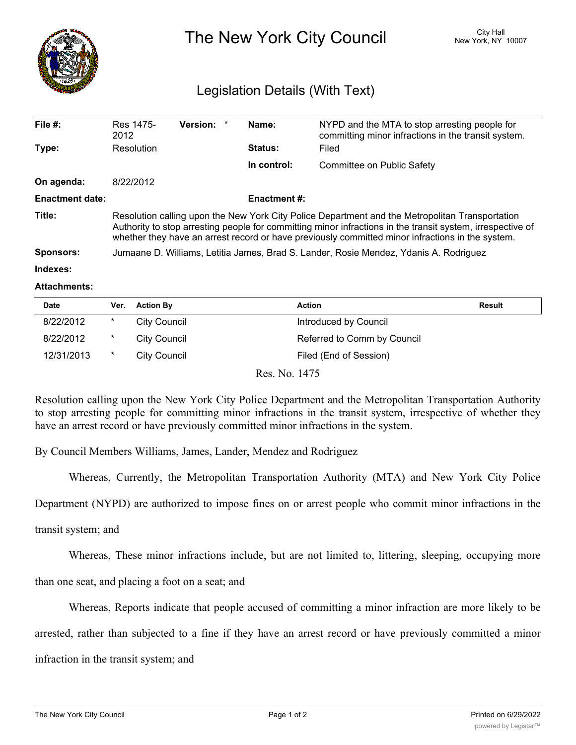

## The New York City Council New York, NY 10007

## Legislation Details (With Text)

| File $#$ :             | Res 1475-<br>2012                                                                                                                                                                                                                                                                                                 | Version: * |  | Name:          | NYPD and the MTA to stop arresting people for<br>committing minor infractions in the transit system. |  |  |
|------------------------|-------------------------------------------------------------------------------------------------------------------------------------------------------------------------------------------------------------------------------------------------------------------------------------------------------------------|------------|--|----------------|------------------------------------------------------------------------------------------------------|--|--|
| Type:                  | Resolution                                                                                                                                                                                                                                                                                                        |            |  | <b>Status:</b> | Filed                                                                                                |  |  |
|                        |                                                                                                                                                                                                                                                                                                                   |            |  | In control:    | Committee on Public Safety                                                                           |  |  |
| On agenda:             | 8/22/2012                                                                                                                                                                                                                                                                                                         |            |  |                |                                                                                                      |  |  |
| <b>Enactment date:</b> | <b>Enactment #:</b>                                                                                                                                                                                                                                                                                               |            |  |                |                                                                                                      |  |  |
| Title:                 | Resolution calling upon the New York City Police Department and the Metropolitan Transportation<br>Authority to stop arresting people for committing minor infractions in the transit system, irrespective of<br>whether they have an arrest record or have previously committed minor infractions in the system. |            |  |                |                                                                                                      |  |  |
| <b>Sponsors:</b>       | Jumaane D. Williams, Letitia James, Brad S. Lander, Rosie Mendez, Ydanis A. Rodriguez                                                                                                                                                                                                                             |            |  |                |                                                                                                      |  |  |
| Indexes:               |                                                                                                                                                                                                                                                                                                                   |            |  |                |                                                                                                      |  |  |

## **Attachments:**

| Date       | Ver. | <b>Action By</b>    | <b>Action</b>               | <b>Result</b> |
|------------|------|---------------------|-----------------------------|---------------|
| 8/22/2012  | *    | <b>City Council</b> | Introduced by Council       |               |
| 8/22/2012  | *    | City Council        | Referred to Comm by Council |               |
| 12/31/2013 | *    | City Council        | Filed (End of Session)      |               |
|            |      |                     | Res. No. 1475               |               |

Resolution calling upon the New York City Police Department and the Metropolitan Transportation Authority to stop arresting people for committing minor infractions in the transit system, irrespective of whether they have an arrest record or have previously committed minor infractions in the system.

By Council Members Williams, James, Lander, Mendez and Rodriguez

Whereas, Currently, the Metropolitan Transportation Authority (MTA) and New York City Police

Department (NYPD) are authorized to impose fines on or arrest people who commit minor infractions in the

transit system; and

Whereas, These minor infractions include, but are not limited to, littering, sleeping, occupying more

than one seat, and placing a foot on a seat; and

Whereas, Reports indicate that people accused of committing a minor infraction are more likely to be

arrested, rather than subjected to a fine if they have an arrest record or have previously committed a minor

infraction in the transit system; and